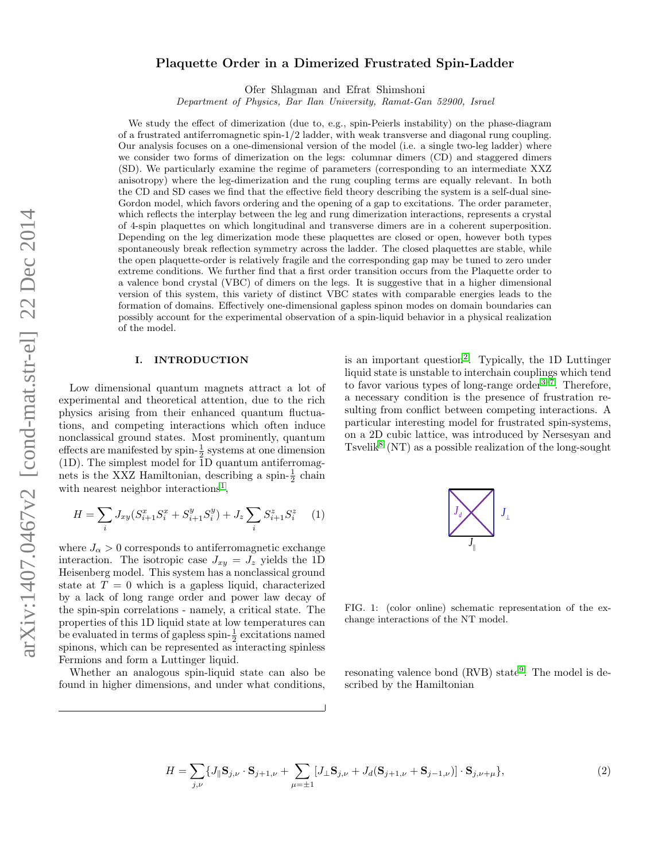# arXiv:1407.0467v2 [cond-mat.str-el] 22 Dec 2014 arXiv:1407.0467v2 [cond-mat.str-el] 22 Dec 2014

# Plaquette Order in a Dimerized Frustrated Spin-Ladder

Ofer Shlagman and Efrat Shimshoni

Department of Physics, Bar Ilan University, Ramat-Gan 52900, Israel

We study the effect of dimerization (due to, e.g., spin-Peierls instability) on the phase-diagram of a frustrated antiferromagnetic spin-1/2 ladder, with weak transverse and diagonal rung coupling. Our analysis focuses on a one-dimensional version of the model (i.e. a single two-leg ladder) where we consider two forms of dimerization on the legs: columnar dimers (CD) and staggered dimers (SD). We particularly examine the regime of parameters (corresponding to an intermediate XXZ anisotropy) where the leg-dimerization and the rung coupling terms are equally relevant. In both the CD and SD cases we find that the effective field theory describing the system is a self-dual sine-Gordon model, which favors ordering and the opening of a gap to excitations. The order parameter, which reflects the interplay between the leg and rung dimerization interactions, represents a crystal of 4-spin plaquettes on which longitudinal and transverse dimers are in a coherent superposition. Depending on the leg dimerization mode these plaquettes are closed or open, however both types spontaneously break reflection symmetry across the ladder. The closed plaquettes are stable, while the open plaquette-order is relatively fragile and the corresponding gap may be tuned to zero under extreme conditions. We further find that a first order transition occurs from the Plaquette order to a valence bond crystal (VBC) of dimers on the legs. It is suggestive that in a higher dimensional version of this system, this variety of distinct VBC states with comparable energies leads to the formation of domains. Effectively one-dimensional gapless spinon modes on domain boundaries can possibly account for the experimental observation of a spin-liquid behavior in a physical realization of the model.

### I. INTRODUCTION

Low dimensional quantum magnets attract a lot of experimental and theoretical attention, due to the rich physics arising from their enhanced quantum fluctuations, and competing interactions which often induce nonclassical ground states. Most prominently, quantum effects are manifested by spin- $\frac{1}{2}$  systems at one dimension  $(1D)$ . The simplest model for  $\overline{1}D$  quantum antiferromagnets is the XXZ Hamiltonian, describing a spin- $\frac{1}{2}$  chain with nearest neighbor interactions<sup>[1](#page-12-0)</sup>,

$$
H = \sum_{i} J_{xy} (S_{i+1}^{x} S_i^{x} + S_{i+1}^{y} S_i^{y}) + J_z \sum_{i} S_{i+1}^{z} S_i^{z} \qquad (1)
$$

where  $J_{\alpha} > 0$  corresponds to antiferromagnetic exchange interaction. The isotropic case  $J_{xy} = J_z$  yields the 1D Heisenberg model. This system has a nonclassical ground state at  $T = 0$  which is a gapless liquid, characterized by a lack of long range order and power law decay of the spin-spin correlations - namely, a critical state. The properties of this 1D liquid state at low temperatures can be evaluated in terms of gapless spin- $\frac{1}{2}$  excitations named spinons, which can be represented as interacting spinless Fermions and form a Luttinger liquid.

Whether an analogous spin-liquid state can also be found in higher dimensions, and under what conditions,

is an important question<sup>[2](#page-12-1)</sup>. Typically, the 1D Luttinger liquid state is unstable to interchain couplings which tend to favor various types of long-range order<sup>[3–](#page-12-2)[7](#page-12-3)</sup>. Therefore, a necessary condition is the presence of frustration resulting from conflict between competing interactions. A particular interesting model for frustrated spin-systems, on a 2D cubic lattice, was introduced by Nersesyan and Tsvelik<sup>[8](#page-12-4)</sup> (NT) as a possible realization of the long-sought



<span id="page-0-0"></span>FIG. 1: (color online) schematic representation of the exchange interactions of the NT model.

resonating valence bond (RVB) state<sup>[9](#page-12-5)</sup>. The model is described by the Hamiltonian

<span id="page-0-1"></span>
$$
H = \sum_{j,\nu} \{ J_{\parallel} \mathbf{S}_{j,\nu} \cdot \mathbf{S}_{j+1,\nu} + \sum_{\mu = \pm 1} [J_{\perp} \mathbf{S}_{j,\nu} + J_d(\mathbf{S}_{j+1,\nu} + \mathbf{S}_{j-1,\nu})] \cdot \mathbf{S}_{j,\nu+\mu} \},\tag{2}
$$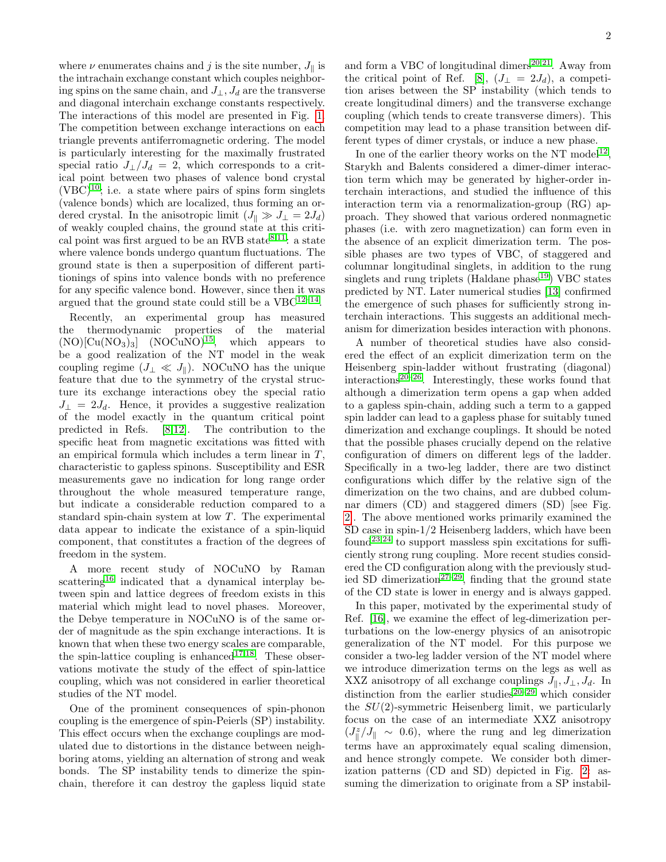where  $\nu$  enumerates chains and j is the site number,  $J_{\parallel}$  is the intrachain exchange constant which couples neighboring spins on the same chain, and  $J_{\perp}$ ,  $J_d$  are the transverse and diagonal interchain exchange constants respectively. The interactions of this model are presented in Fig. [1.](#page-0-0) The competition between exchange interactions on each triangle prevents antiferromagnetic ordering. The model is particularly interesting for the maximally frustrated special ratio  $J_{\perp}/J_d = 2$ , which corresponds to a critical point between two phases of valence bond crystal  $(VBC)^{10}$  $(VBC)^{10}$  $(VBC)^{10}$ ; i.e. a state where pairs of spins form singlets (valence bonds) which are localized, thus forming an ordered crystal. In the anisotropic limit  $(J_{\parallel} \gg J_{\perp} = 2J_d)$ of weakly coupled chains, the ground state at this critical point was first argued to be an RVB state  $8,11$  $8,11$ : a state where valence bonds undergo quantum fluctuations. The ground state is then a superposition of different partitionings of spins into valence bonds with no preference for any specific valence bond. However, since then it was argued that the ground state could still be a  $VBC^{12-14}$  $VBC^{12-14}$  $VBC^{12-14}$ .

Recently, an experimental group has measured the thermodynamic properties of the material  $(NO)[Cu(NO<sub>3</sub>)<sub>3</sub>]$   $(NOCuNO)<sup>15</sup>$  $(NOCuNO)<sup>15</sup>$  $(NOCuNO)<sup>15</sup>$ , which appears to be a good realization of the NT model in the weak coupling regime ( $J_{\perp} \ll J_{\parallel}$ ). NOCuNO has the unique feature that due to the symmetry of the crystal structure its exchange interactions obey the special ratio  $J_{\perp} = 2J_d$ . Hence, it provides a suggestive realization of the model exactly in the quantum critical point predicted in Refs. [\[8](#page-12-4)[,12\]](#page-12-8). The contribution to the specific heat from magnetic excitations was fitted with an empirical formula which includes a term linear in  $T$ , characteristic to gapless spinons. Susceptibility and ESR measurements gave no indication for long range order throughout the whole measured temperature range, but indicate a considerable reduction compared to a standard spin-chain system at low T. The experimental data appear to indicate the existance of a spin-liquid component, that constitutes a fraction of the degrees of freedom in the system.

A more recent study of NOCuNO by Raman scattering<sup>[16](#page-12-11)</sup> indicated that a dynamical interplay between spin and lattice degrees of freedom exists in this material which might lead to novel phases. Moreover, the Debye temperature in NOCuNO is of the same order of magnitude as the spin exchange interactions. It is known that when these two energy scales are comparable, the spin-lattice coupling is enhanced<sup>[17,](#page-12-12)[18](#page-12-13)</sup>. These observations motivate the study of the effect of spin-lattice coupling, which was not considered in earlier theoretical studies of the NT model.

One of the prominent consequences of spin-phonon coupling is the emergence of spin-Peierls (SP) instability. This effect occurs when the exchange couplings are modulated due to distortions in the distance between neighboring atoms, yielding an alternation of strong and weak bonds. The SP instability tends to dimerize the spinchain, therefore it can destroy the gapless liquid state

and form a VBC of longitudinal dimers<sup>[20](#page-12-14)[,21](#page-12-15)</sup>. Away from the critical point of Ref. [\[8\]](#page-12-4),  $(J_{\perp} = 2J_d)$ , a competition arises between the SP instability (which tends to create longitudinal dimers) and the transverse exchange coupling (which tends to create transverse dimers). This competition may lead to a phase transition between different types of dimer crystals, or induce a new phase.

In one of the earlier theory works on the NT model<sup>[12](#page-12-8)</sup>, Starykh and Balents considered a dimer-dimer interaction term which may be generated by higher-order interchain interactions, and studied the influence of this interaction term via a renormalization-group (RG) approach. They showed that various ordered nonmagnetic phases (i.e. with zero magnetization) can form even in the absence of an explicit dimerization term. The possible phases are two types of VBC, of staggered and columnar longitudinal singlets, in addition to the rung singlets and rung triplets (Haldane  $phase^{19}$  $phase^{19}$  $phase^{19}$ ) VBC states predicted by NT. Later numerical studies [\[13\]](#page-12-17) confirmed the emergence of such phases for sufficiently strong interchain interactions. This suggests an additional mechanism for dimerization besides interaction with phonons.

A number of theoretical studies have also considered the effect of an explicit dimerization term on the Heisenberg spin-ladder without frustrating (diagonal)  $interactions<sup>20–26</sup>$  $interactions<sup>20–26</sup>$  $interactions<sup>20–26</sup>$  $interactions<sup>20–26</sup>$ . Interestingly, these works found that although a dimerization term opens a gap when added to a gapless spin-chain, adding such a term to a gapped spin ladder can lead to a gapless phase for suitably tuned dimerization and exchange couplings. It should be noted that the possible phases crucially depend on the relative configuration of dimers on different legs of the ladder. Specifically in a two-leg ladder, there are two distinct configurations which differ by the relative sign of the dimerization on the two chains, and are dubbed columnar dimers (CD) and staggered dimers (SD) [see Fig. [2\]](#page-2-0). The above mentioned works primarily examined the SD case in spin-1/2 Heisenberg ladders, which have been found<sup>[23,](#page-12-19)[24](#page-12-20)</sup> to support massless spin excitations for sufficiently strong rung coupling. More recent studies considered the CD configuration along with the previously stud-ied SD dimerization<sup>[27](#page-12-21)[–29](#page-12-22)</sup>, finding that the ground state of the CD state is lower in energy and is always gapped.

In this paper, motivated by the experimental study of Ref. [\[16\]](#page-12-11), we examine the effect of leg-dimerization perturbations on the low-energy physics of an anisotropic generalization of the NT model. For this purpose we consider a two-leg ladder version of the NT model where we introduce dimerization terms on the legs as well as XXZ anisotropy of all exchange couplings  $J_{\parallel}, J_{\perp}, J_d$ . In distinction from the earlier studies<sup>[20](#page-12-14)[–29](#page-12-22)</sup> which consider the  $SU(2)$ -symmetric Heisenberg limit, we particularly focus on the case of an intermediate XXZ anisotropy  $(J_{\parallel}^z/J_{\parallel} \sim 0.6)$ , where the rung and leg dimerization terms have an approximately equal scaling dimension, and hence strongly compete. We consider both dimerization patterns (CD and SD) depicted in Fig. [2:](#page-2-0) assuming the dimerization to originate from a SP instabil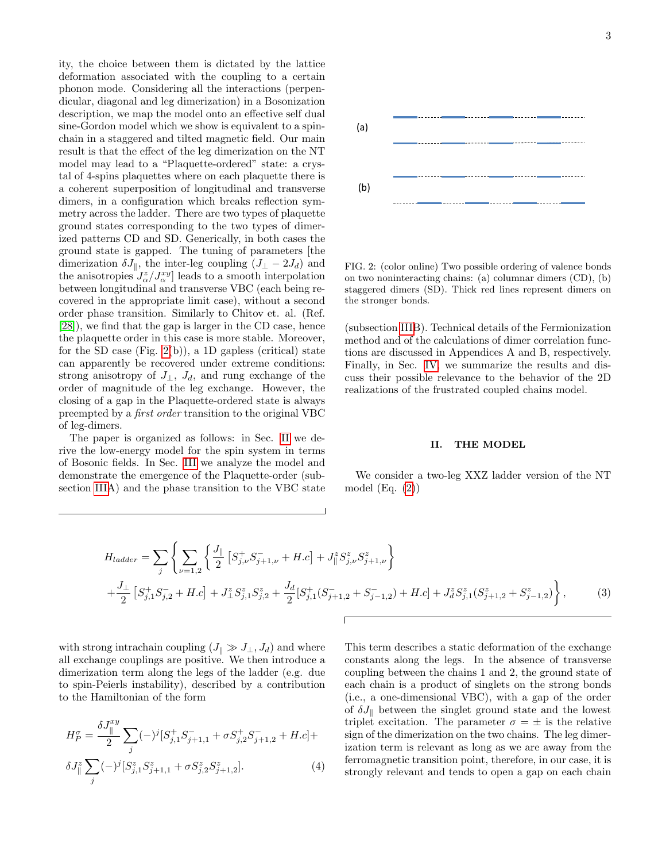ity, the choice between them is dictated by the lattice deformation associated with the coupling to a certain phonon mode. Considering all the interactions (perpendicular, diagonal and leg dimerization) in a Bosonization description, we map the model onto an effective self dual sine-Gordon model which we show is equivalent to a spinchain in a staggered and tilted magnetic field. Our main result is that the effect of the leg dimerization on the NT model may lead to a "Plaquette-ordered" state: a crystal of 4-spins plaquettes where on each plaquette there is a coherent superposition of longitudinal and transverse dimers, in a configuration which breaks reflection symmetry across the ladder. There are two types of plaquette ground states corresponding to the two types of dimerized patterns CD and SD. Generically, in both cases the ground state is gapped. The tuning of parameters [the dimerization  $\delta J_{\parallel}$ , the inter-leg coupling  $(J_{\perp} - 2J_d)$  and the anisotropies  $J^z_{\alpha}/J^{xy}_{\alpha}$  leads to a smooth interpolation between longitudinal and transverse VBC (each being recovered in the appropriate limit case), without a second order phase transition. Similarly to Chitov et. al. (Ref. [\[28\]](#page-12-23)), we find that the gap is larger in the CD case, hence the plaquette order in this case is more stable. Moreover, for the SD case (Fig. [2\(](#page-2-0)b)), a 1D gapless (critical) state can apparently be recovered under extreme conditions: strong anisotropy of  $J_{\perp}$ ,  $J_d$ , and rung exchange of the order of magnitude of the leg exchange. However, the closing of a gap in the Plaquette-ordered state is always preempted by a first order transition to the original VBC of leg-dimers.

The paper is organized as follows: in Sec. [II](#page-2-1) we derive the low-energy model for the spin system in terms of Bosonic fields. In Sec. [III](#page-5-0) we analyze the model and demonstrate the emergence of the Plaquette-order (subsection [IIIA](#page-5-0)) and the phase transition to the VBC state



<span id="page-2-0"></span>FIG. 2: (color online) Two possible ordering of valence bonds on two noninteracting chains: (a) columnar dimers (CD), (b) staggered dimers (SD). Thick red lines represent dimers on the stronger bonds.

(subsection [IIIB](#page-5-0)). Technical details of the Fermionization method and of the calculations of dimer correlation functions are discussed in Appendices A and B, respectively. Finally, in Sec. [IV,](#page-9-0) we summarize the results and discuss their possible relevance to the behavior of the 2D realizations of the frustrated coupled chains model.

# <span id="page-2-1"></span>II. THE MODEL

We consider a two-leg XXZ ladder version of the NT model  $(Eq. (2))$  $(Eq. (2))$  $(Eq. (2))$ 

$$
H_{ladder} = \sum_{j} \left\{ \sum_{\nu=1,2} \left\{ \frac{J_{\parallel}}{2} \left[ S_{j,\nu}^{+} S_{j+1,\nu}^{-} + H.c \right] + J_{\parallel}^{z} S_{j,\nu}^{z} S_{j+1,\nu}^{z} \right\} + \frac{J_{\perp}}{2} \left[ S_{j,1}^{+} S_{j,2}^{-} + H.c \right] + J_{\perp}^{z} S_{j,1}^{z} S_{j,2}^{z} + \frac{J_{d}}{2} \left[ S_{j,1}^{+} (S_{j+1,2}^{-} + S_{j-1,2}^{-}) + H.c \right] + J_{d}^{z} S_{j,1}^{z} (S_{j+1,2}^{z} + S_{j-1,2}^{z}) \right\},
$$
\n(3)

with strong intrachain coupling  $(J_{\parallel} \gg J_{\perp}, J_d)$  and where all exchange couplings are positive. We then introduce a dimerization term along the legs of the ladder (e.g. due to spin-Peierls instability), described by a contribution to the Hamiltonian of the form

$$
H_P^{\sigma} = \frac{\delta J_{\parallel}^{xy}}{2} \sum_j (-)^j [S_{j,1}^+ S_{j+1,1}^- + \sigma S_{j,2}^+ S_{j+1,2}^- + H.c] +
$$
  

$$
\delta J_{\parallel}^z \sum_j (-)^j [S_{j,1}^z S_{j+1,1}^z + \sigma S_{j,2}^z S_{j+1,2}^z].
$$
 (4)

This term describes a static deformation of the exchange constants along the legs. In the absence of transverse coupling between the chains 1 and 2, the ground state of each chain is a product of singlets on the strong bonds (i.e., a one-dimensional VBC), with a gap of the order of  $\delta J_{\parallel}$  between the singlet ground state and the lowest triplet excitation. The parameter  $\sigma = \pm$  is the relative sign of the dimerization on the two chains. The leg dimerization term is relevant as long as we are away from the ferromagnetic transition point, therefore, in our case, it is strongly relevant and tends to open a gap on each chain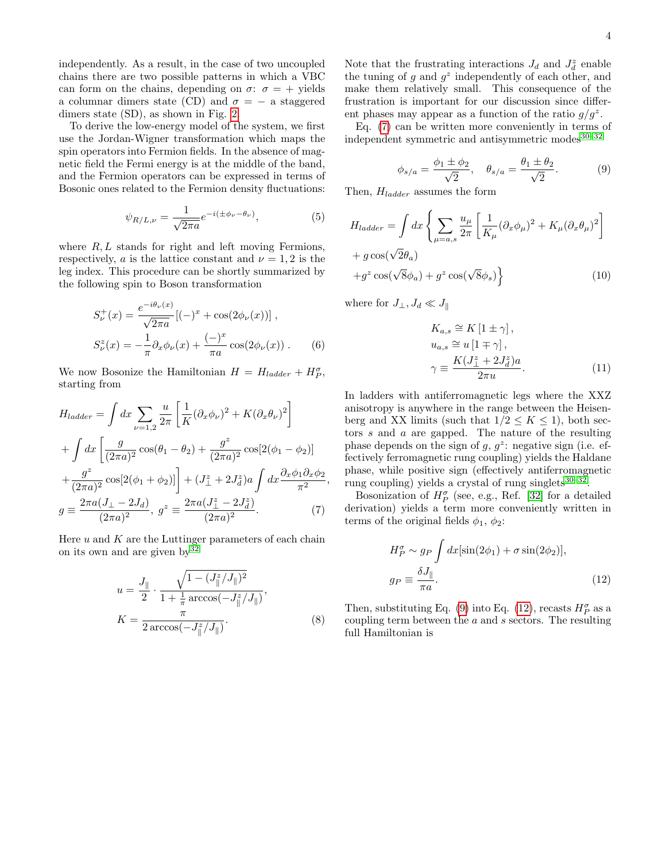independently. As a result, in the case of two uncoupled chains there are two possible patterns in which a VBC can form on the chains, depending on  $\sigma$ :  $\sigma$  = + yields a columnar dimers state (CD) and  $\sigma = -$  a staggered dimers state (SD), as shown in Fig. [2.](#page-2-0)

To derive the low-energy model of the system, we first use the Jordan-Wigner transformation which maps the spin operators into Fermion fields. In the absence of magnetic field the Fermi energy is at the middle of the band, and the Fermion operators can be expressed in terms of Bosonic ones related to the Fermion density fluctuations:

$$
\psi_{R/L,\nu} = \frac{1}{\sqrt{2\pi a}} e^{-i(\pm \phi_{\nu} - \theta_{\nu})},\tag{5}
$$

where  $R, L$  stands for right and left moving Fermions, respectively, a is the lattice constant and  $\nu = 1, 2$  is the leg index. This procedure can be shortly summarized by the following spin to Boson transformation

$$
S_{\nu}^{+}(x) = \frac{e^{-i\theta_{\nu}(x)}}{\sqrt{2\pi a}} [(-)^{x} + \cos(2\phi_{\nu}(x))] ,
$$
  

$$
S_{\nu}^{z}(x) = -\frac{1}{\pi} \partial_{x} \phi_{\nu}(x) + \frac{(-)^{x}}{\pi a} \cos(2\phi_{\nu}(x)) .
$$
 (6)

We now Bosonize the Hamiltonian  $H = H_{ladder} + H_p^{\sigma}$ , starting from

$$
H_{ladder} = \int dx \sum_{\nu=1,2} \frac{u}{2\pi} \left[ \frac{1}{K} (\partial_x \phi_\nu)^2 + K (\partial_x \theta_\nu)^2 \right]
$$
  
+ 
$$
\int dx \left[ \frac{g}{(2\pi a)^2} \cos(\theta_1 - \theta_2) + \frac{g^2}{(2\pi a)^2} \cos[2(\phi_1 - \phi_2)] \right]
$$
  
+ 
$$
\frac{g^2}{(2\pi a)^2} \cos[2(\phi_1 + \phi_2)] + (J_{\perp}^z + 2J_d^z) a \int dx \frac{\partial_x \phi_1 \partial_x \phi_2}{\pi^2},
$$
  

$$
g \equiv \frac{2\pi a (J_{\perp} - 2J_d)}{(2\pi a)^2}, \ g^z \equiv \frac{2\pi a (J_{\perp}^z - 2J_d^z)}{(2\pi a)^2}. \tag{7}
$$

Here  $u$  and  $K$  are the Luttinger parameters of each chain on its own and are given by  $32$ 

$$
u = \frac{J_{\parallel}}{2} \cdot \frac{\sqrt{1 - (J_{\parallel}^{z}/J_{\parallel})^2}}{1 + \frac{1}{\pi} \arccos(-J_{\parallel}^{z}/J_{\parallel})},
$$

$$
K = \frac{\pi}{2 \arccos(-J_{\parallel}^{z}/J_{\parallel})}.
$$
(8)

Note that the frustrating interactions  $J_d$  and  $J_d^z$  enable the tuning of g and  $g^z$  independently of each other, and make them relatively small. This consequence of the frustration is important for our discussion since different phases may appear as a function of the ratio  $g/g^z$ .

Eq. [\(7\)](#page-3-0) can be written more conveniently in terms of independent symmetric and antisymmetric modes $30-32$  $30-32$ 

<span id="page-3-1"></span>
$$
\phi_{s/a} = \frac{\phi_1 \pm \phi_2}{\sqrt{2}}, \quad \theta_{s/a} = \frac{\theta_1 \pm \theta_2}{\sqrt{2}}.
$$
 (9)

<span id="page-3-5"></span>Then,  $H_{ladder}$  assumes the form

$$
H_{ladder} = \int dx \left\{ \sum_{\mu=a,s} \frac{u_{\mu}}{2\pi} \left[ \frac{1}{K_{\mu}} (\partial_x \phi_{\mu})^2 + K_{\mu} (\partial_x \theta_{\mu})^2 \right] + g \cos(\sqrt{2}\theta_a) + g^z \cos(\sqrt{8}\phi_a) + g^z \cos(\sqrt{8}\phi_s) \right\}
$$
(10)

where for  $J_{\perp}, J_d \ll J_{\parallel}$ 

<span id="page-3-3"></span>
$$
K_{a,s} \cong K\left[1 \pm \gamma\right],
$$
  
\n
$$
u_{a,s} \cong u\left[1 \mp \gamma\right],
$$
  
\n
$$
\gamma \equiv \frac{K(J_{\perp}^z + 2J_d^z)a}{2\pi u}.
$$
\n(11)

In ladders with antiferromagnetic legs where the XXZ anisotropy is anywhere in the range between the Heisenberg and XX limits (such that  $1/2 \leq K \leq 1$ ), both sectors s and a are gapped. The nature of the resulting phase depends on the sign of  $g, g^z$ : negative sign (i.e. effectively ferromagnetic rung coupling) yields the Haldane phase, while positive sign (effectively antiferromagnetic rung coupling) yields a crystal of rung singlets $30-32$  $30-32$ .

<span id="page-3-0"></span>Bosonization of  $H_P^{\sigma}$  (see, e.g., Ref. [\[32\]](#page-12-24) for a detailed derivation) yields a term more conveniently written in terms of the original fields  $\phi_1$ ,  $\phi_2$ :

<span id="page-3-2"></span>
$$
H_P^{\sigma} \sim g_P \int dx [\sin(2\phi_1) + \sigma \sin(2\phi_2)],
$$
  
\n
$$
g_P \equiv \frac{\delta J_{\parallel}}{\pi a}.
$$
\n(12)

<span id="page-3-4"></span>Then, substituting Eq. [\(9\)](#page-3-1) into Eq. [\(12\)](#page-3-2), recasts  $H^{\sigma}_{P}$  as a coupling term between the a and s sectors. The resulting full Hamiltonian is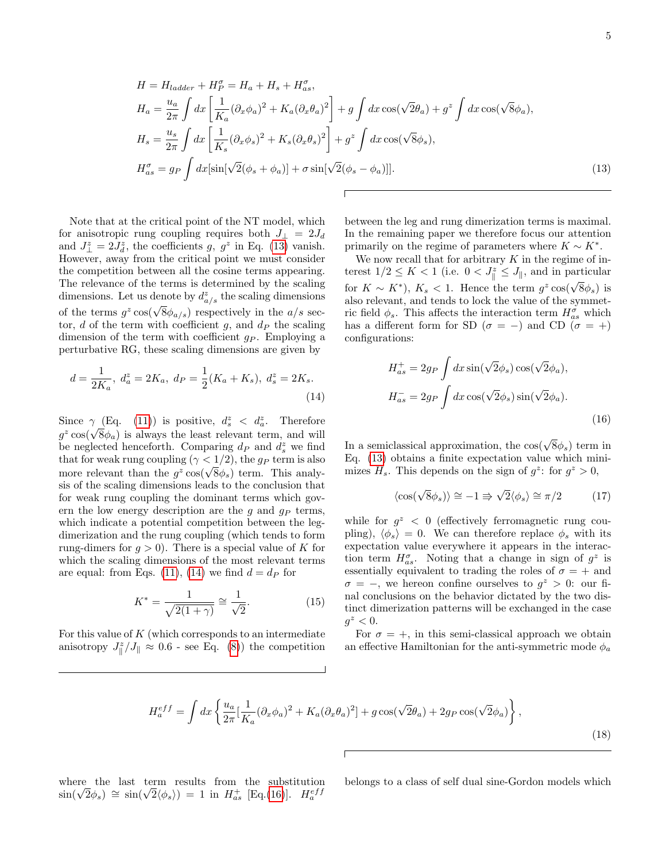$$
H = H_{ladder} + H_P^{\sigma} = H_a + H_s + H_{as}^{\sigma},
$$
  
\n
$$
H_a = \frac{u_a}{2\pi} \int dx \left[ \frac{1}{K_a} (\partial_x \phi_a)^2 + K_a (\partial_x \theta_a)^2 \right] + g \int dx \cos(\sqrt{2}\theta_a) + g^z \int dx \cos(\sqrt{8}\phi_a),
$$
  
\n
$$
H_s = \frac{u_s}{2\pi} \int dx \left[ \frac{1}{K_s} (\partial_x \phi_s)^2 + K_s (\partial_x \theta_s)^2 \right] + g^z \int dx \cos(\sqrt{8}\phi_s),
$$
  
\n
$$
H_{as}^{\sigma} = g_P \int dx [\sin[\sqrt{2}(\phi_s + \phi_a)] + \sigma \sin[\sqrt{2}(\phi_s - \phi_a)]].
$$
\n(13)

Note that at the critical point of the NT model, which for anisotropic rung coupling requires both  $J_{\perp} = 2J_d$ and  $J_{\perp}^{z} = 2J_{d}^{z}$ , the coefficients g,  $g^{z}$  in Eq. [\(13\)](#page-4-0) vanish. However, away from the critical point we must consider the competition between all the cosine terms appearing. The relevance of the terms is determined by the scaling dimensions. Let us denote by  $d_{a/s}^z$  the scaling dimensions of the terms  $g^z \cos(\sqrt{8}\phi_{a/s})$  respectively in the  $a/s$  sector, d of the term with coefficient g, and  $d<sub>P</sub>$  the scaling dimension of the term with coefficient  $q_P$ . Employing a perturbative RG, these scaling dimensions are given by

$$
d = \frac{1}{2K_a}, \ d_a^z = 2K_a, \ d_P = \frac{1}{2}(K_a + K_s), \ d_s^z = 2K_s.
$$
\n<sup>(14)</sup>

Since  $\gamma$  (Eq. [\(11\)](#page-3-3)) is positive,  $d_s^z < d_a^z$ . Therefore since  $\gamma$  (Eq. (11)) is positive,  $a_s^2 < a_a^2$ . Therefore  $g^2 \cos(\sqrt{8\phi_a})$  is always the least relevant term, and will be neglected henceforth. Comparing  $d_P$  and  $d_s^z$  we find that for weak rung coupling ( $\gamma$  < 1/2), the  $g_P$  term is also that for weak rung coupling ( $\gamma < 1/2$ ), the  $g_P$  term is also<br>more relevant than the  $g^z \cos(\sqrt{8}\phi_s)$  term. This analysis of the scaling dimensions leads to the conclusion that for weak rung coupling the dominant terms which govern the low energy description are the  $q$  and  $q_P$  terms, which indicate a potential competition between the legdimerization and the rung coupling (which tends to form rung-dimers for  $q > 0$ ). There is a special value of K for which the scaling dimensions of the most relevant terms are equal: from Eqs. [\(11\)](#page-3-3), [\(14\)](#page-4-1) we find  $d = d_P$  for

$$
K^* = \frac{1}{\sqrt{2(1+\gamma)}} \cong \frac{1}{\sqrt{2}}.\tag{15}
$$

For this value of  $K$  (which corresponds to an intermediate anisotropy  $J_{\parallel}^z/J_{\parallel} \approx 0.6$  - see Eq. [\(8\)](#page-3-4)) the competition

<span id="page-4-0"></span>between the leg and rung dimerization terms is maximal. In the remaining paper we therefore focus our attention primarily on the regime of parameters where  $K \sim K^*$ .

We now recall that for arbitrary  $K$  in the regime of interest  $1/2 \leq K < 1$  (i.e.  $0 < J_{\parallel}^z \leq J_{\parallel}$ , and in particular for  $K \sim K^*$ ),  $K_s < 1$ . Hence the term  $g^z \cos(\sqrt{8}\phi_s)$  is also relevant, and tends to lock the value of the symmetric field  $\phi_s$ . This affects the interaction term  $H^{\sigma}_{as}$  which has a different form for SD ( $\sigma = -$ ) and CD ( $\sigma = +$ ) configurations:

$$
H_{as}^{+} = 2g_P \int dx \sin(\sqrt{2}\phi_s) \cos(\sqrt{2}\phi_a),
$$
  

$$
H_{as}^{-} = 2g_P \int dx \cos(\sqrt{2}\phi_s) \sin(\sqrt{2}\phi_a).
$$
 (16)

<span id="page-4-1"></span>In a semiclassical approximation, the  $cos(\sqrt{8}\phi_s)$  term in Eq. [\(13\)](#page-4-0) obtains a finite expectation value which minimizes  $H_s$ . This depends on the sign of  $g^z$ : for  $g^z > 0$ ,

<span id="page-4-2"></span>
$$
\langle \cos(\sqrt{8}\phi_s) \rangle \cong -1 \Rightarrow \sqrt{2} \langle \phi_s \rangle \cong \pi/2 \tag{17}
$$

while for  $g^z$  < 0 (effectively ferromagnetic rung coupling),  $\langle \phi_s \rangle = 0$ . We can therefore replace  $\phi_s$  with its expectation value everywhere it appears in the interaction term  $H_{as}^{\sigma}$ . Noting that a change in sign of  $g^z$  is essentially equivalent to trading the roles of  $\sigma = +$  and  $\sigma = -$ , we hereon confine ourselves to  $g^z > 0$ : our final conclusions on the behavior dictated by the two distinct dimerization patterns will be exchanged in the case  $g^z < 0$ .

For  $\sigma = +$ , in this semi-classical approach we obtain an effective Hamiltonian for the anti-symmetric mode  $\phi_a$ 

$$
H_a^{eff} = \int dx \left\{ \frac{u_a}{2\pi} \left[ \frac{1}{K_a} (\partial_x \phi_a)^2 + K_a (\partial_x \theta_a)^2 \right] + g \cos(\sqrt{2}\theta_a) + 2g_P \cos(\sqrt{2}\phi_a) \right\},\tag{18}
$$

where the last term results from the substitution where the last term results from the substitution<br>  $\sin(\sqrt{2}\phi_s) \cong \sin(\sqrt{2}\langle\phi_s\rangle) = 1$  in  $H_{as}^+$  [Eq.[\(16\)](#page-4-2)].  $H_a^{eff}$ 

<span id="page-4-3"></span>belongs to a class of self dual sine-Gordon models which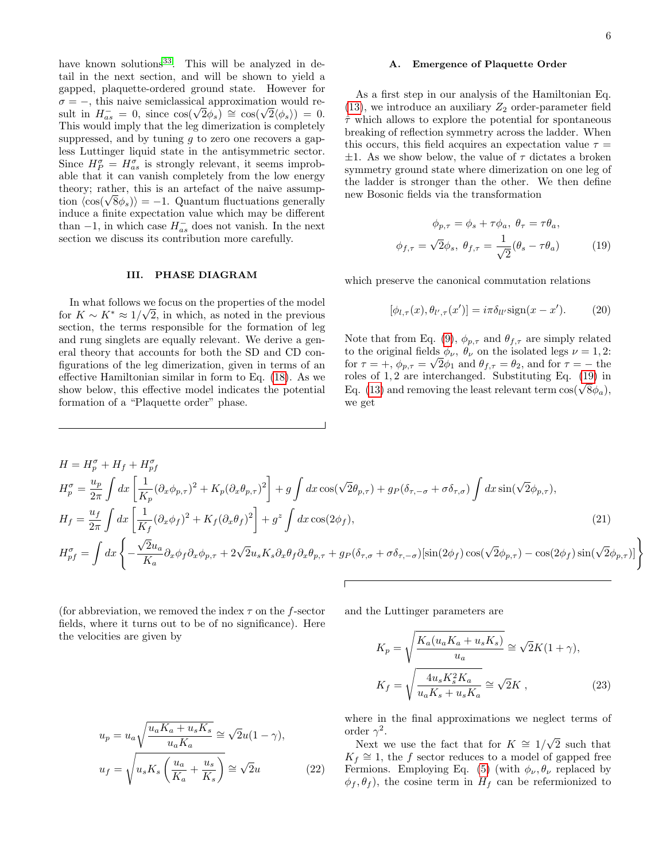have known solutions<sup>[33](#page-12-26)</sup>. This will be analyzed in detail in the next section, and will be shown to yield a gapped, plaquette-ordered ground state. However for  $\sigma = -$ , this naive semiclassical approximation would re- $\sigma = -$ , this naive semiclassical approximation would result in  $H_{as}^- = 0$ , since  $\cos(\sqrt{2}\phi_s) \approx \cos(\sqrt{2}\langle \phi_s \rangle) = 0$ . This would imply that the leg dimerization is completely suppressed, and by tuning  $q$  to zero one recovers a gapless Luttinger liquid state in the antisymmetric sector. Since  $H_P^{\sigma} = H_{as}^{\sigma}$  is strongly relevant, it seems improbable that it can vanish completely from the low energy theory; rather, this is an artefact of the naive assumptheory; rather, this is an artefact of the naive assumption  $\langle \cos(\sqrt{8}\phi_s) \rangle = -1$ . Quantum fluctuations generally induce a finite expectation value which may be different than  $-1$ , in which case  $H_{as}^-$  does not vanish. In the next section we discuss its contribution more carefully.

### <span id="page-5-0"></span>III. PHASE DIAGRAM

In what follows we focus on the properties of the model for  $K \sim K^* \approx 1/\sqrt{2}$ , in which, as noted in the previous section, the terms responsible for the formation of leg and rung singlets are equally relevant. We derive a general theory that accounts for both the SD and CD configurations of the leg dimerization, given in terms of an effective Hamiltonian similar in form to Eq. [\(18\)](#page-4-3). As we show below, this effective model indicates the potential formation of a "Plaquette order" phase.

### A. Emergence of Plaquette Order

As a first step in our analysis of the Hamiltonian Eq.  $(13)$ , we introduce an auxiliary  $Z_2$  order-parameter field  $\hat{\tau}$  which allows to explore the potential for spontaneous breaking of reflection symmetry across the ladder. When this occurs, this field acquires an expectation value  $\tau =$  $\pm 1$ . As we show below, the value of  $\tau$  dictates a broken symmetry ground state where dimerization on one leg of the ladder is stronger than the other. We then define new Bosonic fields via the transformation

<span id="page-5-1"></span>
$$
\phi_{p,\tau} = \phi_s + \tau \phi_a, \ \theta_\tau = \tau \theta_a,
$$
  

$$
\phi_{f,\tau} = \sqrt{2} \phi_s, \ \theta_{f,\tau} = \frac{1}{\sqrt{2}} (\theta_s - \tau \theta_a)
$$
 (19)

which preserve the canonical commutation relations

$$
[\phi_{l,\tau}(x), \theta_{l',\tau}(x')] = i\pi \delta_{ll'} \text{sign}(x - x'). \tag{20}
$$

Note that from Eq. [\(9\)](#page-3-1),  $\phi_{p,\tau}$  and  $\theta_{f,\tau}$  are simply related to the original fields  $\phi_{\nu}$ ,  $\theta_{\nu}$  on the isolated legs  $\nu = 1, 2$ : for  $\tau = +$ ,  $\phi_{p,\tau} = \sqrt{2\phi_1}$  and  $\theta_{f,\tau} = \theta_2$ , and for  $\tau = -$  the roles of 1, 2 are interchanged. Substituting Eq. [\(19\)](#page-5-1) in roles of 1, 2 are interchanged. Substituting Eq. (19) in Eq. [\(13\)](#page-4-0) and removing the least relevant term  $cos(\sqrt{8}\phi_a)$ , we get

$$
H = H_p^{\sigma} + H_f + H_{pf}^{\sigma}
$$
  
\n
$$
H_p^{\sigma} = \frac{u_p}{2\pi} \int dx \left[ \frac{1}{K_p} (\partial_x \phi_{p,\tau})^2 + K_p (\partial_x \theta_{p,\tau})^2 \right] + g \int dx \cos(\sqrt{2}\theta_{p,\tau}) + g_P(\delta_{\tau,-\sigma} + \sigma \delta_{\tau,\sigma}) \int dx \sin(\sqrt{2}\phi_{p,\tau}),
$$
  
\n
$$
H_f = \frac{u_f}{2\pi} \int dx \left[ \frac{1}{K_f} (\partial_x \phi_f)^2 + K_f (\partial_x \theta_f)^2 \right] + g^z \int dx \cos(2\phi_f),
$$
  
\n
$$
H_{pf}^{\sigma} = \int dx \left\{ -\frac{\sqrt{2}u_a}{K_a} \partial_x \phi_f \partial_x \phi_{p,\tau} + 2\sqrt{2}u_s K_s \partial_x \theta_f \partial_x \theta_{p,\tau} + g_P(\delta_{\tau,\sigma} + \sigma \delta_{\tau,-\sigma}) [\sin(2\phi_f) \cos(\sqrt{2}\phi_{p,\tau}) - \cos(2\phi_f) \sin(\sqrt{2}\phi_{p,\tau})] \right\}
$$
\n(21)

(for abbreviation, we removed the index  $\tau$  on the f-sector fields, where it turns out to be of no significance). Here the velocities are given by

and the Luttinger parameters are

<span id="page-5-2"></span>
$$
K_p = \sqrt{\frac{K_a(u_a K_a + u_s K_s)}{u_a}} \cong \sqrt{2}K(1+\gamma),
$$
  

$$
K_f = \sqrt{\frac{4u_s K_s^2 K_a}{u_a K_s + u_s K_a}} \cong \sqrt{2}K,
$$
 (23)

$$
u_p = u_a \sqrt{\frac{u_a K_a + u_s K_s}{u_a K_a}} \cong \sqrt{2}u(1 - \gamma),
$$
  

$$
u_f = \sqrt{u_s K_s \left(\frac{u_a}{K_a} + \frac{u_s}{K_s}\right)} \cong \sqrt{2}u
$$
 (22)

where in the final approximations we neglect terms of order  $\gamma^2$ .

der  $\gamma$ .<br>Next we use the fact that for  $K \cong 1/\sqrt{2}$ 2 such that  $K_f \cong 1$ , the f sector reduces to a model of gapped free Fermions. Employing Eq. [\(5\)](#page-3-5) (with  $\phi_{\nu}, \theta_{\nu}$  replaced by  $\phi_f, \theta_f$ , the cosine term in  $H_f$  can be refermionized to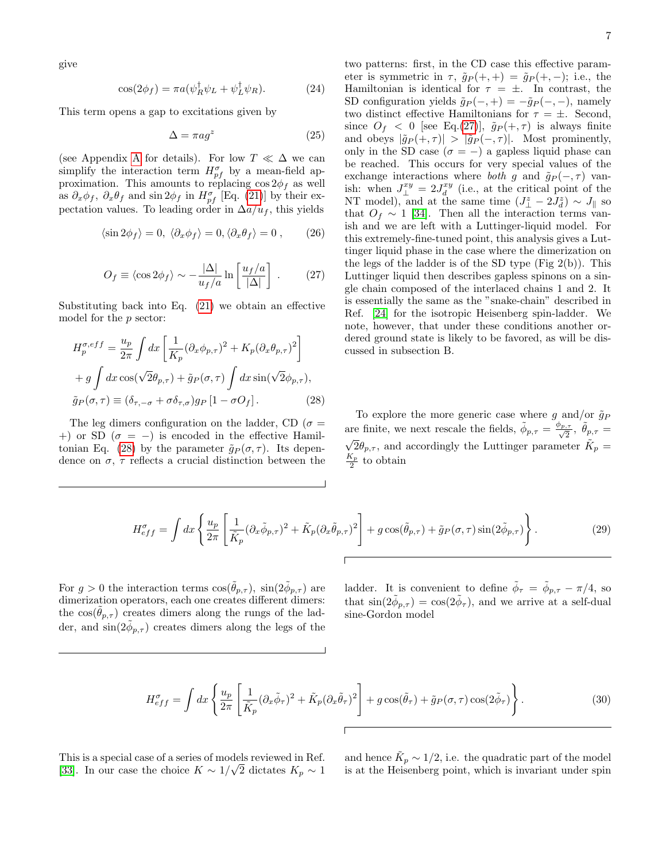give

$$
\cos(2\phi_f) = \pi a(\psi_R^{\dagger}\psi_L + \psi_L^{\dagger}\psi_R). \tag{24}
$$

This term opens a gap to excitations given by

$$
\Delta = \pi a g^z \tag{25}
$$

(see [A](#page-10-0)ppendix A for details). For low  $T \ll \Delta$  we can simplify the interaction term  $H_{pf}^{\sigma}$  by a mean-field approximation. This amounts to replacing  $\cos 2\phi_f$  as well as  $\partial_x \phi_f$ ,  $\partial_x \theta_f$  and sin  $2\phi_f$  in  $H_{pf}^{\sigma}$  [Eq. [\(21\)](#page-5-2)] by their expectation values. To leading order in  $\Delta a/u_f$ , this yields

$$
\langle \sin 2\phi_f \rangle = 0, \ \langle \partial_x \phi_f \rangle = 0, \langle \partial_x \theta_f \rangle = 0, \tag{26}
$$

$$
O_f \equiv \langle \cos 2\phi_f \rangle \sim -\frac{|\Delta|}{u_f/a} \ln \left[ \frac{u_f/a}{|\Delta|} \right] . \tag{27}
$$

Substituting back into Eq. [\(21\)](#page-5-2) we obtain an effective model for the p sector:

$$
H_p^{\sigma,eff} = \frac{u_p}{2\pi} \int dx \left[ \frac{1}{K_p} (\partial_x \phi_{p,\tau})^2 + K_p (\partial_x \theta_{p,\tau})^2 \right]
$$
  
+  $g \int dx \cos(\sqrt{2}\theta_{p,\tau}) + \tilde{g}_P(\sigma,\tau) \int dx \sin(\sqrt{2}\phi_{p,\tau}),$   
 $\tilde{g}_P(\sigma,\tau) \equiv (\delta_{\tau,-\sigma} + \sigma \delta_{\tau,\sigma}) g_P [1 - \sigma O_f].$  (28)

The leg dimers configuration on the ladder, CD ( $\sigma =$ +) or SD ( $\sigma = -$ ) is encoded in the effective Hamil-tonian Eq. [\(28\)](#page-6-0) by the parameter  $\tilde{g}_P(\sigma, \tau)$ . Its dependence on  $\sigma$ ,  $\tau$  reflects a crucial distinction between the 7

<span id="page-6-3"></span>two patterns: first, in the CD case this effective parameter is symmetric in  $\tau$ ,  $\tilde{g}_P(+,+) = \tilde{g}_P(+,-);$  i.e., the Hamiltonian is identical for  $\tau = \pm$ . In contrast, the SD configuration yields  $\tilde{g}_P(-,+) = -\tilde{g}_P(-,-)$ , namely two distinct effective Hamiltonians for  $\tau = \pm$ . Second, since  $O_f$  < 0 [see Eq.[\(27\)](#page-6-1)],  $\tilde{g}_P(+,\tau)$  is always finite and obeys  $|\tilde{g}_P(+,\tau)| > |\tilde{g}_P(-,\tau)|$ . Most prominently, only in the SD case ( $\sigma = -$ ) a gapless liquid phase can be reached. This occurs for very special values of the exchange interactions where both g and  $\tilde{g}_P(-, \tau)$  vanish: when  $J_{\perp}^{xy} = 2J_d^{xy}$  (i.e., at the critical point of the NT model), and at the same time  $(J^z_{\perp} - 2J^z_{d}) \sim J_{\parallel}$  so that  $O_f \sim 1$  [\[34\]](#page-12-27). Then all the interaction terms vanish and we are left with a Luttinger-liquid model. For this extremely-fine-tuned point, this analysis gives a Luttinger liquid phase in the case where the dimerization on the legs of the ladder is of the SD type  $(Fig 2(b))$ . This Luttinger liquid then describes gapless spinons on a single chain composed of the interlaced chains 1 and 2. It is essentially the same as the "snake-chain" described in Ref. [\[24\]](#page-12-20) for the isotropic Heisenberg spin-ladder. We note, however, that under these conditions another ordered ground state is likely to be favored, as will be discussed in subsection B.

<span id="page-6-1"></span><span id="page-6-0"></span>To explore the more generic case where g and/or  $\tilde{g}_P$ are finite, we next rescale the fields,  $\tilde{\phi}_{p,\tau} = \frac{\phi_{p,\tau}}{\sqrt{2}}$ ,  $\tilde{\theta}_{p,\tau} = \sqrt{\frac{2}{n}}$  $\overline{2}\theta_{p,\tau}$ , and accordingly the Luttinger parameter  $\tilde{K}_p =$  $\frac{K_p}{2}$  to obtain

$$
H_{eff}^{\sigma} = \int dx \left\{ \frac{u_p}{2\pi} \left[ \frac{1}{\tilde{K}_p} (\partial_x \tilde{\phi}_{p,\tau})^2 + \tilde{K}_p (\partial_x \tilde{\theta}_{p,\tau})^2 \right] + g \cos(\tilde{\theta}_{p,\tau}) + \tilde{g}_P(\sigma, \tau) \sin(2\tilde{\phi}_{p,\tau}) \right\}.
$$
 (29)

For  $g > 0$  the interaction terms  $\cos(\tilde{\theta}_{p,\tau})$ ,  $\sin(2\tilde{\phi}_{p,\tau})$  are dimerization operators, each one creates different dimers: the  $cos(\theta_{p,\tau})$  creates dimers along the rungs of the ladder, and  $\sin(2\tilde{\phi}_{p,\tau})$  creates dimers along the legs of the

ladder. It is convenient to define  $\tilde{\phi}_{\tau} = \tilde{\phi}_{p,\tau} - \pi/4$ , so that  $\sin(2\tilde{\phi}_{p,\tau}) = \cos(2\tilde{\phi}_{\tau}),$  and we arrive at a self-dual sine-Gordon model

$$
H_{eff}^{\sigma} = \int dx \left\{ \frac{u_p}{2\pi} \left[ \frac{1}{\tilde{K}_p} (\partial_x \tilde{\phi}_\tau)^2 + \tilde{K}_p (\partial_x \tilde{\theta}_\tau)^2 \right] + g \cos(\tilde{\theta}_\tau) + \tilde{g}_P(\sigma, \tau) \cos(2\tilde{\phi}_\tau) \right\}.
$$
 (30)

This is a special case of a series of models reviewed in Ref. [\[33\]](#page-12-26). In our case the choice  $K \sim 1/\sqrt{2}$  dictates  $K_p \sim 1$ 

<span id="page-6-2"></span>and hence  $\tilde{K}_p \sim 1/2$ , i.e. the quadratic part of the model is at the Heisenberg point, which is invariant under spin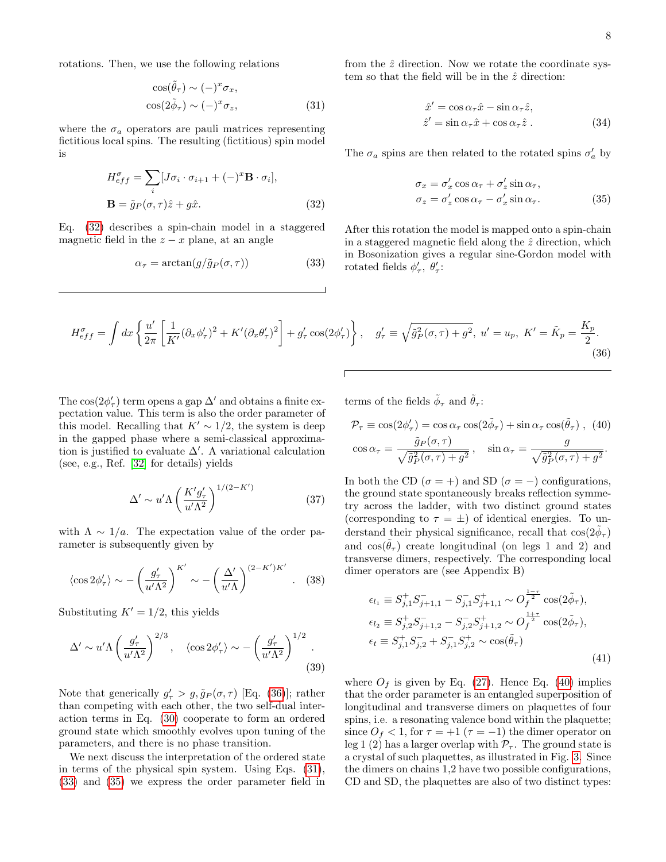rotations. Then, we use the following relations

$$
\cos(\tilde{\theta}_{\tau}) \sim (-)^{x} \sigma_{x},
$$
  
\n
$$
\cos(2\tilde{\phi}_{\tau}) \sim (-)^{x} \sigma_{z},
$$
\n(31)

where the  $\sigma_a$  operators are pauli matrices representing fictitious local spins. The resulting (fictitious) spin model is

$$
H_{eff}^{\sigma} = \sum_{i} [J\sigma_i \cdot \sigma_{i+1} + (-)^{x} \mathbf{B} \cdot \sigma_i],
$$
  

$$
\mathbf{B} = \tilde{g}_P(\sigma, \tau) \hat{z} + g\hat{x}.
$$
 (32)

Eq. [\(32\)](#page-7-0) describes a spin-chain model in a staggered magnetic field in the  $z - x$  plane, at an angle

$$
\alpha_{\tau} = \arctan(g/\tilde{g}_P(\sigma, \tau))\tag{33}
$$

<span id="page-7-2"></span>from the  $\hat{z}$  direction. Now we rotate the coordinate system so that the field will be in the  $\hat{z}$  direction:

$$
\hat{x}' = \cos \alpha_{\tau} \hat{x} - \sin \alpha_{\tau} \hat{z}, \n\hat{z}' = \sin \alpha_{\tau} \hat{x} + \cos \alpha_{\tau} \hat{z}.
$$
\n(34)

The  $\sigma_a$  spins are then related to the rotated spins  $\sigma_a'$  by

<span id="page-7-4"></span><span id="page-7-1"></span>
$$
\sigma_x = \sigma'_x \cos \alpha_\tau + \sigma'_z \sin \alpha_\tau, \n\sigma_z = \sigma'_z \cos \alpha_\tau - \sigma'_x \sin \alpha_\tau.
$$
\n(35)

<span id="page-7-3"></span><span id="page-7-0"></span>After this rotation the model is mapped onto a spin-chain in a staggered magnetic field along the  $\hat{z}$  direction, which in Bosonization gives a regular sine-Gordon model with rotated fields  $\phi'_{\tau}$ ,  $\theta'_{\tau}$ :

$$
H_{eff}^{\sigma} = \int dx \left\{ \frac{u'}{2\pi} \left[ \frac{1}{K'} (\partial_x \phi_\tau')^2 + K' (\partial_x \theta_\tau')^2 \right] + g_\tau' \cos(2\phi_\tau') \right\}, \quad g_\tau' \equiv \sqrt{\tilde{g}_P^2(\sigma, \tau) + g^2}, \ u' = u_p, \ K' = \tilde{K}_p = \frac{K_p}{2}.
$$
\n(36)

The  $\cos(2\phi_{\tau}')$  term opens a gap  $\Delta'$  and obtains a finite expectation value. This term is also the order parameter of this model. Recalling that  $K' \sim 1/2$ , the system is deep in the gapped phase where a semi-classical approximation is justified to evaluate  $\Delta'$ . A variational calculation (see, e.g., Ref. [\[32\]](#page-12-24) for details) yields

<span id="page-7-7"></span>
$$
\Delta' \sim u' \Lambda \left(\frac{K' g_{\tau}'}{u' \Lambda^2}\right)^{1/(2-K')} \tag{37}
$$

with  $\Lambda \sim 1/a$ . The expectation value of the order parameter is subsequently given by

$$
\langle \cos 2\phi'_{\tau} \rangle \sim -\left(\frac{g'_{\tau}}{u'\Lambda^2}\right)^{K'} \sim -\left(\frac{\Delta'}{u'\Lambda}\right)^{(2-K')K'}.\tag{38}
$$

Substituting  $K' = 1/2$ , this yields

$$
\Delta' \sim u' \Lambda \left(\frac{g_\tau'}{u' \Lambda^2}\right)^{2/3}, \quad \langle \cos 2\phi_\tau' \rangle \sim -\left(\frac{g_\tau'}{u' \Lambda^2}\right)^{1/2}.
$$
\n(39)

Note that generically  $g'_\tau > g$ ,  $\tilde{g}_P(\sigma, \tau)$  [Eq. [\(36\)](#page-7-1)]; rather than competing with each other, the two self-dual interaction terms in Eq. [\(30\)](#page-6-2) cooperate to form an ordered ground state which smoothly evolves upon tuning of the parameters, and there is no phase transition.

We next discuss the interpretation of the ordered state in terms of the physical spin system. Using Eqs. [\(31\)](#page-7-2), [\(33\)](#page-7-3) and [\(35\)](#page-7-4) we express the order parameter field in

terms of the fields  $\tilde{\phi}_{\tau}$  and  $\tilde{\theta}_{\tau}$ :

<span id="page-7-5"></span>
$$
\mathcal{P}_{\tau} \equiv \cos(2\phi_{\tau}') = \cos\alpha_{\tau}\cos(2\tilde{\phi}_{\tau}) + \sin\alpha_{\tau}\cos(\tilde{\theta}_{\tau}), (40)
$$

$$
\cos\alpha_{\tau} = \frac{\tilde{g}_{P}(\sigma,\tau)}{\sqrt{\tilde{g}_{P}^{2}(\sigma,\tau) + g^{2}}}, \quad \sin\alpha_{\tau} = \frac{g}{\sqrt{\tilde{g}_{P}^{2}(\sigma,\tau) + g^{2}}}.
$$

In both the CD ( $\sigma = +$ ) and SD ( $\sigma = -$ ) configurations, the ground state spontaneously breaks reflection symmetry across the ladder, with two distinct ground states (corresponding to  $\tau = \pm$ ) of identical energies. To understand their physical significance, recall that  $\cos(2\tilde{\phi}_{\tau})$ and  $\cos(\theta_\tau)$  create longitudinal (on legs 1 and 2) and transverse dimers, respectively. The corresponding local dimer operators are (see Appendix B)

<span id="page-7-6"></span>
$$
\epsilon_{l_1} \equiv S_{j,1}^+ S_{j+1,1}^- - S_{j,1}^- S_{j+1,1}^+ \sim O_f^{\frac{1-\tau}{2}} \cos(2\tilde{\phi}_\tau),
$$
  
\n
$$
\epsilon_{l_2} \equiv S_{j,2}^+ S_{j+1,2}^- - S_{j,2}^- S_{j+1,2}^+ \sim O_f^{\frac{1+\tau}{2}} \cos(2\tilde{\phi}_\tau),
$$
  
\n
$$
\epsilon_t \equiv S_{j,1}^+ S_{j,2}^- + S_{j,1}^- S_{j,2}^+ \sim \cos(\tilde{\theta}_\tau)
$$
\n(41)

where  $O_f$  is given by Eq. [\(27\)](#page-6-1). Hence Eq. [\(40\)](#page-7-5) implies that the order parameter is an entangled superposition of longitudinal and transverse dimers on plaquettes of four spins, i.e. a resonating valence bond within the plaquette; since  $O_f < 1$ , for  $\tau = +1$  ( $\tau = -1$ ) the dimer operator on leg 1 (2) has a larger overlap with  $P_{\tau}$ . The ground state is a crystal of such plaquettes, as illustrated in Fig. [3.](#page-8-0) Since the dimers on chains 1,2 have two possible configurations, CD and SD, the plaquettes are also of two distinct types: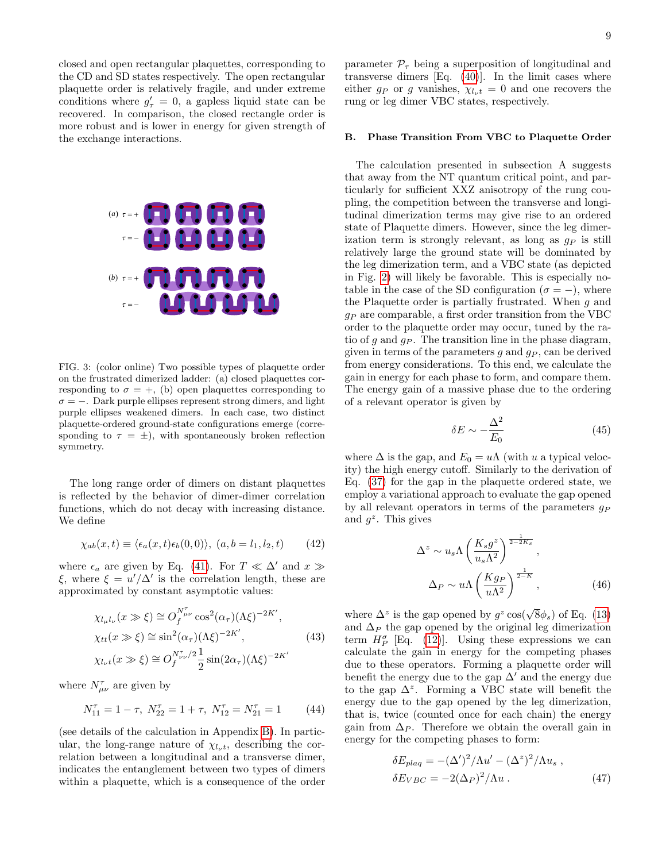closed and open rectangular plaquettes, corresponding to the CD and SD states respectively. The open rectangular plaquette order is relatively fragile, and under extreme conditions where  $g'_{\tau} = 0$ , a gapless liquid state can be recovered. In comparison, the closed rectangle order is more robust and is lower in energy for given strength of the exchange interactions.



<span id="page-8-0"></span>FIG. 3: (color online) Two possible types of plaquette order on the frustrated dimerized ladder: (a) closed plaquettes corresponding to  $\sigma = +$ , (b) open plaquettes corresponding to  $\sigma = -$ . Dark purple ellipses represent strong dimers, and light purple ellipses weakened dimers. In each case, two distinct plaquette-ordered ground-state configurations emerge (corresponding to  $\tau = \pm$ ), with spontaneously broken reflection symmetry.

The long range order of dimers on distant plaquettes is reflected by the behavior of dimer-dimer correlation functions, which do not decay with increasing distance. We define

$$
\chi_{ab}(x,t) \equiv \langle \epsilon_a(x,t)\epsilon_b(0,0) \rangle, \ (a,b = l_1, l_2, t) \tag{42}
$$

where  $\epsilon_a$  are given by Eq. [\(41\)](#page-7-6). For  $T \ll \Delta'$  and  $x \gg$ ξ, where  $\xi = u'/\Delta'$  is the correlation length, these are approximated by constant asymptotic values:

$$
\chi_{l_{\mu}l_{\nu}}(x \gg \xi) \cong O_f^{N_{\mu\nu}^{\tau}} \cos^2(\alpha_{\tau})(\Lambda \xi)^{-2K'},
$$
  
\n
$$
\chi_{tt}(x \gg \xi) \cong \sin^2(\alpha_{\tau})(\Lambda \xi)^{-2K'},
$$
  
\n
$$
\chi_{l_{\nu}t}(x \gg \xi) \cong O_f^{N_{\nu\nu}^{\tau}/2} \frac{1}{2} \sin(2\alpha_{\tau})(\Lambda \xi)^{-2K'}
$$
\n(43)

where  $N^{\tau}_{\mu\nu}$  are given by

$$
N_{11}^{\tau} = 1 - \tau, \ N_{22}^{\tau} = 1 + \tau, \ N_{12}^{\tau} = N_{21}^{\tau} = 1 \tag{44}
$$

(see details of the calculation in Appendix [B\)](#page-11-0). In particular, the long-range nature of  $\chi_{l_{\nu}}t$ , describing the correlation between a longitudinal and a transverse dimer, indicates the entanglement between two types of dimers within a plaquette, which is a consequence of the order parameter  $\mathcal{P}_{\tau}$  being a superposition of longitudinal and transverse dimers  $[Eq. (40)]$  $[Eq. (40)]$  $[Eq. (40)]$ . In the limit cases where either  $g_P$  or g vanishes,  $\chi_{l_{\nu}t} = 0$  and one recovers the rung or leg dimer VBC states, respectively.

### B. Phase Transition From VBC to Plaquette Order

The calculation presented in subsection A suggests that away from the NT quantum critical point, and particularly for sufficient XXZ anisotropy of the rung coupling, the competition between the transverse and longitudinal dimerization terms may give rise to an ordered state of Plaquette dimers. However, since the leg dimerization term is strongly relevant, as long as  $g_P$  is still relatively large the ground state will be dominated by the leg dimerization term, and a VBC state (as depicted in Fig. [2\)](#page-2-0) will likely be favorable. This is especially notable in the case of the SD configuration ( $\sigma = -$ ), where the Plaquette order is partially frustrated. When  $q$  and  $g_P$  are comparable, a first order transition from the VBC order to the plaquette order may occur, tuned by the ratio of g and  $g_P$ . The transition line in the phase diagram, given in terms of the parameters  $g$  and  $g_P$ , can be derived from energy considerations. To this end, we calculate the gain in energy for each phase to form, and compare them. The energy gain of a massive phase due to the ordering of a relevant operator is given by

$$
\delta E \sim -\frac{\Delta^2}{E_0} \tag{45}
$$

where  $\Delta$  is the gap, and  $E_0 = u\Lambda$  (with u a typical velocity) the high energy cutoff. Similarly to the derivation of Eq. [\(37\)](#page-7-7) for the gap in the plaquette ordered state, we employ a variational approach to evaluate the gap opened by all relevant operators in terms of the parameters  $q_P$ and  $g^z$ . This gives

<span id="page-8-1"></span>
$$
\Delta^z \sim u_s \Lambda \left(\frac{K_s g^z}{u_s \Lambda^2}\right)^{\frac{1}{2-2K_s}},
$$
  

$$
\Delta_P \sim u \Lambda \left(\frac{Kg_P}{u \Lambda^2}\right)^{\frac{1}{2-K}},
$$
 (46)

where  $\Delta^z$  is the gap opened by  $g^z \cos(\sqrt{8}\phi_s)$  of Eq. [\(13\)](#page-4-0) and  $\Delta_P$  the gap opened by the original leg dimerization term  $H_P^{\sigma}$  [Eq. [\(12\)](#page-3-2)]. Using these expressions we can calculate the gain in energy for the competing phases due to these operators. Forming a plaquette order will benefit the energy due to the gap  $\Delta'$  and the energy due to the gap  $\Delta^z$ . Forming a VBC state will benefit the energy due to the gap opened by the leg dimerization, that is, twice (counted once for each chain) the energy gain from  $\Delta_P$ . Therefore we obtain the overall gain in energy for the competing phases to form:

<span id="page-8-2"></span>
$$
\delta E_{plaq} = -(\Delta')^2 / \Lambda u' - (\Delta^z)^2 / \Lambda u_s ,
$$
  
\n
$$
\delta E_{VBC} = -2(\Delta_P)^2 / \Lambda u .
$$
 (47)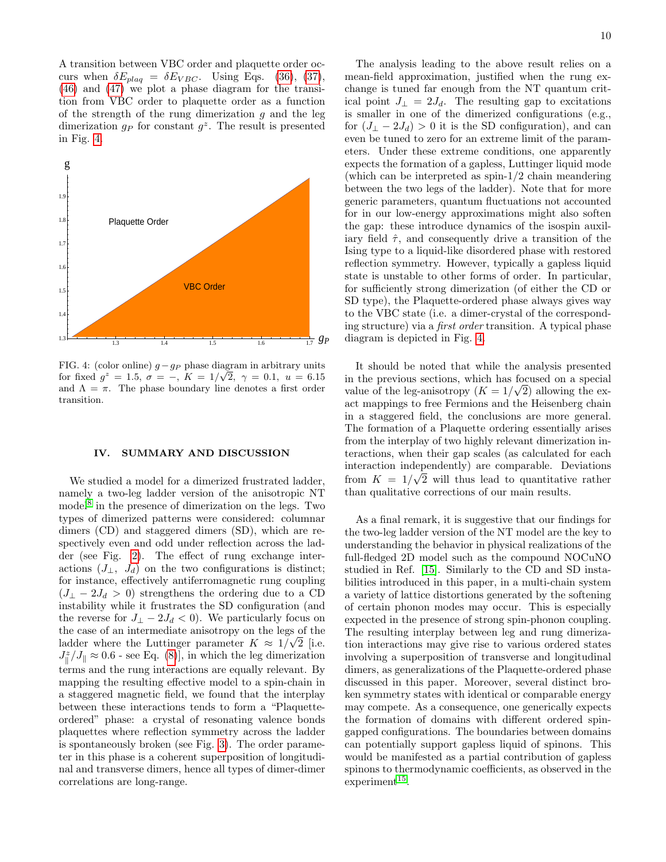A transition between VBC order and plaquette order occurs when  $\delta E_{plaq} = \delta E_{VBC}$ . Using Eqs. [\(36\)](#page-7-1), [\(37\)](#page-7-7), [\(46\)](#page-8-1) and [\(47\)](#page-8-2) we plot a phase diagram for the transition from VBC order to plaquette order as a function of the strength of the rung dimerization  $g$  and the leg dimerization  $g_P$  for constant  $g^z$ . The result is presented in Fig. [4.](#page-9-1)



<span id="page-9-1"></span>FIG. 4: (color online)  $g - g_P$  phase diagram in arbitrary units for fixed  $g^z = 1.5, \sigma = -$ ,  $K = 1/\sqrt{2}, \gamma = 0.1, u = 6.15$ and  $\Lambda = \pi$ . The phase boundary line denotes a first order transition.

### <span id="page-9-0"></span>IV. SUMMARY AND DISCUSSION

We studied a model for a dimerized frustrated ladder, namely a two-leg ladder version of the anisotropic NT model<sup>[8](#page-12-4)</sup> in the presence of dimerization on the legs. Two types of dimerized patterns were considered: columnar dimers (CD) and staggered dimers (SD), which are respectively even and odd under reflection across the ladder (see Fig. [2\)](#page-2-0). The effect of rung exchange interactions  $(J_{\perp}, J_d)$  on the two configurations is distinct; for instance, effectively antiferromagnetic rung coupling  $(J_{\perp} - 2J_d > 0)$  strengthens the ordering due to a CD instability while it frustrates the SD configuration (and the reverse for  $J_{\perp} - 2J_d < 0$ ). We particularly focus on the case of an intermediate anisotropy on the legs of the ladder where the Luttinger parameter  $K \approx 1/\sqrt{2}$  [i.e.  $J_{\parallel}^{z}/J_{\parallel} \approx 0.6$  - see Eq. [\(8\)](#page-3-4)], in which the leg dimerization terms and the rung interactions are equally relevant. By mapping the resulting effective model to a spin-chain in a staggered magnetic field, we found that the interplay between these interactions tends to form a "Plaquetteordered" phase: a crystal of resonating valence bonds plaquettes where reflection symmetry across the ladder is spontaneously broken (see Fig. [3\)](#page-8-0). The order parameter in this phase is a coherent superposition of longitudinal and transverse dimers, hence all types of dimer-dimer correlations are long-range.

The analysis leading to the above result relies on a mean-field approximation, justified when the rung exchange is tuned far enough from the NT quantum critical point  $J_{\perp} = 2J_d$ . The resulting gap to excitations is smaller in one of the dimerized configurations (e.g., for  $(J_{\perp} - 2J_d) > 0$  it is the SD configuration), and can even be tuned to zero for an extreme limit of the parameters. Under these extreme conditions, one apparently expects the formation of a gapless, Luttinger liquid mode (which can be interpreted as spin-1/2 chain meandering between the two legs of the ladder). Note that for more generic parameters, quantum fluctuations not accounted for in our low-energy approximations might also soften the gap: these introduce dynamics of the isospin auxiliary field  $\hat{\tau}$ , and consequently drive a transition of the Ising type to a liquid-like disordered phase with restored reflection symmetry. However, typically a gapless liquid state is unstable to other forms of order. In particular, for sufficiently strong dimerization (of either the CD or SD type), the Plaquette-ordered phase always gives way to the VBC state (i.e. a dimer-crystal of the corresponding structure) via a first order transition. A typical phase diagram is depicted in Fig. [4.](#page-9-1)

It should be noted that while the analysis presented in the previous sections, which has focused on a special value of the leg-anisotropy  $(K = 1/\sqrt{2})$  allowing the exact mappings to free Fermions and the Heisenberg chain in a staggered field, the conclusions are more general. The formation of a Plaquette ordering essentially arises from the interplay of two highly relevant dimerization interactions, when their gap scales (as calculated for each interaction independently) are comparable. Deviations from  $K = 1/\sqrt{2}$  will thus lead to quantitative rather than qualitative corrections of our main results.

As a final remark, it is suggestive that our findings for the two-leg ladder version of the NT model are the key to understanding the behavior in physical realizations of the full-fledged 2D model such as the compound NOCuNO studied in Ref. [\[15\]](#page-12-10). Similarly to the CD and SD instabilities introduced in this paper, in a multi-chain system a variety of lattice distortions generated by the softening of certain phonon modes may occur. This is especially expected in the presence of strong spin-phonon coupling. The resulting interplay between leg and rung dimerization interactions may give rise to various ordered states involving a superposition of transverse and longitudinal dimers, as generalizations of the Plaquette-ordered phase discussed in this paper. Moreover, several distinct broken symmetry states with identical or comparable energy may compete. As a consequence, one generically expects the formation of domains with different ordered spingapped configurations. The boundaries between domains can potentially support gapless liquid of spinons. This would be manifested as a partial contribution of gapless spinons to thermodynamic coefficients, as observed in the  $experiment<sup>15</sup>$  $experiment<sup>15</sup>$  $experiment<sup>15</sup>$ .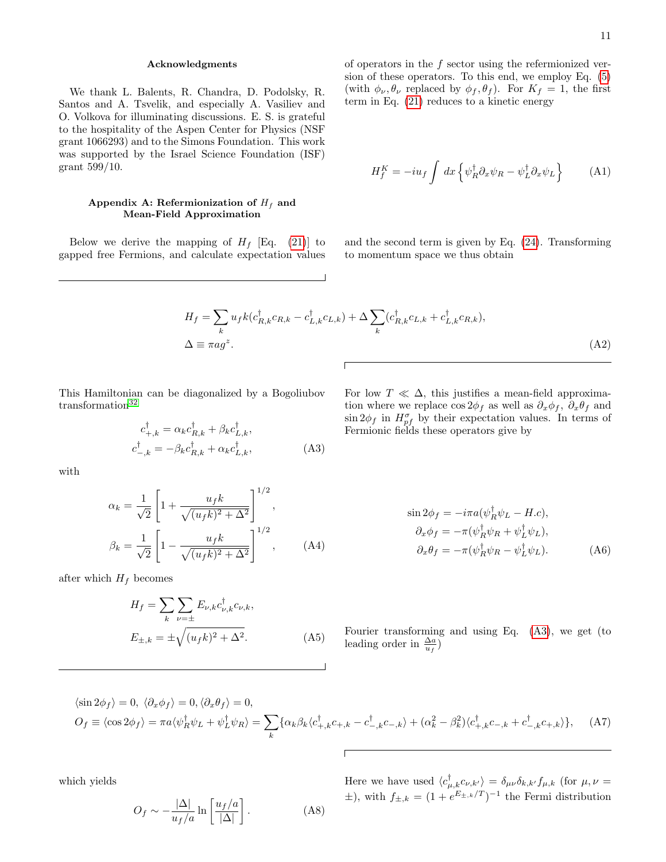## Acknowledgments

We thank L. Balents, R. Chandra, D. Podolsky, R. Santos and A. Tsvelik, and especially A. Vasiliev and O. Volkova for illuminating discussions. E. S. is grateful to the hospitality of the Aspen Center for Physics (NSF grant 1066293) and to the Simons Foundation. This work was supported by the Israel Science Foundation (ISF) grant 599/10.

# <span id="page-10-0"></span>Appendix A: Refermionization of  $H_f$  and Mean-Field Approximation

Below we derive the mapping of  $H_f$  [Eq. [\(21\)](#page-5-2)] to gapped free Fermions, and calculate expectation values

of operators in the  $f$  sector using the refermionized version of these operators. To this end, we employ Eq. [\(5\)](#page-3-5) (with  $\phi_{\nu}, \theta_{\nu}$  replaced by  $\phi_f, \theta_f$ ). For  $K_f = 1$ , the first term in Eq. [\(21\)](#page-5-2) reduces to a kinetic energy

$$
H_f^K = -i u_f \int dx \left\{ \psi_R^{\dagger} \partial_x \psi_R - \psi_L^{\dagger} \partial_x \psi_L \right\} \tag{A1}
$$

and the second term is given by Eq. [\(24\)](#page-6-3). Transforming to momentum space we thus obtain

$$
H_f = \sum_k u_f k(c_{R,k}^\dagger c_{R,k} - c_{L,k}^\dagger c_{L,k}) + \Delta \sum_k (c_{R,k}^\dagger c_{L,k} + c_{L,k}^\dagger c_{R,k}),
$$
  
\n
$$
\Delta \equiv \pi a g^z.
$$
 (A2)

This Hamiltonian can be diagonalized by a Bogoliubov transformation<sup>[32](#page-12-24)</sup>

$$
c_{+,k}^{\dagger} = \alpha_k c_{R,k}^{\dagger} + \beta_k c_{L,k}^{\dagger},
$$
  
\n
$$
c_{-,k}^{\dagger} = -\beta_k c_{R,k}^{\dagger} + \alpha_k c_{L,k}^{\dagger},
$$
\n(A3)

with

$$
\alpha_k = \frac{1}{\sqrt{2}} \left[ 1 + \frac{u_f k}{\sqrt{(u_f k)^2 + \Delta^2}} \right]^{1/2},
$$
  

$$
\beta_k = \frac{1}{\sqrt{2}} \left[ 1 - \frac{u_f k}{\sqrt{(u_f k)^2 + \Delta^2}} \right]^{1/2},
$$
 (A4)

after which  $H_f$  becomes

$$
H_f = \sum_{k} \sum_{\nu = \pm} E_{\nu,k} c_{\nu,k}^{\dagger} c_{\nu,k},
$$
  

$$
E_{\pm,k} = \pm \sqrt{(u_f k)^2 + \Delta^2}.
$$
 (A5)

<span id="page-10-1"></span>For low  $T \ll \Delta$ , this justifies a mean-field approximation where we replace  $\cos 2\phi_f$  as well as  $\partial_x \phi_f$ ,  $\partial_x \theta_f$  and  $\sin 2\phi_f$  in  $H_{pf}^{\sigma}$  by their expectation values. In terms of Fermionic fields these operators give by

$$
\sin 2\phi_f = -i\pi a(\psi_R^{\dagger}\psi_L - H.c),
$$
  
\n
$$
\partial_x \phi_f = -\pi (\psi_R^{\dagger}\psi_R + \psi_L^{\dagger}\psi_L),
$$
  
\n
$$
\partial_x \theta_f = -\pi (\psi_R^{\dagger}\psi_R - \psi_L^{\dagger}\psi_L).
$$
 (A6)

Fourier transforming and using Eq. [\(A3\)](#page-10-1), we get (to leading order in  $\frac{\Delta a}{u_f}$ )

$$
\langle \sin 2\phi_f \rangle = 0, \ \langle \partial_x \phi_f \rangle = 0, \ \langle \partial_x \theta_f \rangle = 0,
$$
  

$$
O_f \equiv \langle \cos 2\phi_f \rangle = \pi a \langle \psi_R^{\dagger} \psi_L + \psi_L^{\dagger} \psi_R \rangle = \sum_k \{ \alpha_k \beta_k \langle c_{+,k}^{\dagger} c_{+,k} - c_{-,k}^{\dagger} c_{-,k} \rangle + (\alpha_k^2 - \beta_k^2) \langle c_{+,k}^{\dagger} c_{-,k} + c_{-,k}^{\dagger} c_{+,k} \rangle \}, \tag{A7}
$$

which yields

$$
O_f \sim -\frac{|\Delta|}{u_f/a} \ln\left[\frac{u_f/a}{|\Delta|}\right].
$$
 (A8)

<span id="page-10-2"></span>Here we have used  $\langle c_{\mu,k}^{\dagger} c_{\nu,k'} \rangle = \delta_{\mu\nu} \delta_{k,k'} f_{\mu,k}$  (for  $\mu, \nu =$  $\pm$ ), with  $f_{\pm,k} = (1 + e^{E_{\pm,k}/T})^{-1}$  the Fermi distribution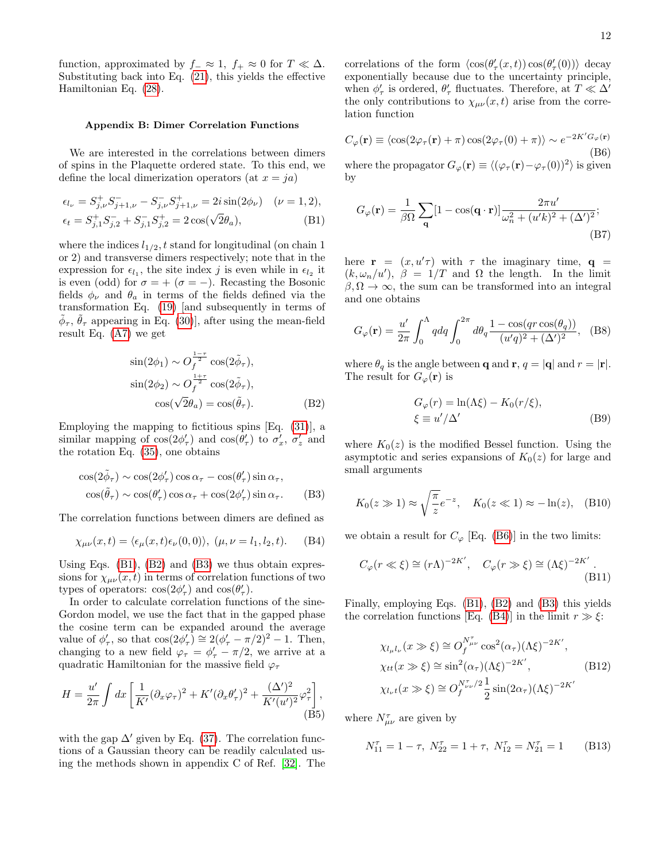function, approximated by  $f_-\approx 1$ ,  $f_+\approx 0$  for  $T\ll \Delta$ . Substituting back into Eq. [\(21\)](#page-5-2), this yields the effective Hamiltonian Eq. [\(28\)](#page-6-0).

### <span id="page-11-0"></span>Appendix B: Dimer Correlation Functions

We are interested in the correlations between dimers of spins in the Plaquette ordered state. To this end, we define the local dimerization operators (at  $x = ja$ )

$$
\epsilon_{l_{\nu}} = S_{j,\nu}^{+} S_{j+1,\nu}^{-} - S_{j,\nu}^{-} S_{j+1,\nu}^{+} = 2i \sin(2\phi_{\nu}) \quad (\nu = 1, 2),
$$
  

$$
\epsilon_{t} = S_{j,1}^{+} S_{j,2}^{-} + S_{j,1}^{-} S_{j,2}^{+} = 2 \cos(\sqrt{2}\theta_{a}),
$$
 (B1)

where the indices  $l_{1/2}$ , t stand for longitudinal (on chain 1) or 2) and transverse dimers respectively; note that in the expression for  $\epsilon_{l_1}$ , the site index j is even while in  $\epsilon_{l_2}$  it is even (odd) for  $\sigma = + (\sigma = -)$ . Recasting the Bosonic fields  $\phi_{\nu}$  and  $\theta_{a}$  in terms of the fields defined via the transformation Eq. [\(19\)](#page-5-1) [and subsequently in terms of  $\tilde{\phi}_{\tau}$ ,  $\tilde{\theta}_{\tau}$  appearing in Eq. [\(30\)](#page-6-2)], after using the mean-field result Eq. [\(A7\)](#page-10-2) we get

$$
\sin(2\phi_1) \sim O_f^{\frac{1-\tau}{2}} \cos(2\tilde{\phi}_\tau),
$$
  
\n
$$
\sin(2\phi_2) \sim O_f^{\frac{1+\tau}{2}} \cos(2\tilde{\phi}_\tau),
$$
  
\n
$$
\cos(\sqrt{2}\theta_a) = \cos(\tilde{\theta}_\tau).
$$
 (B2)

Employing the mapping to fictitious spins [Eq. [\(31\)](#page-7-2)], a similar mapping of  $cos(2\phi'_{\tau})$  and  $cos(\theta'_{\tau})$  to  $\sigma'_{x}$ ,  $\sigma'_{z}$  and the rotation Eq. [\(35\)](#page-7-4), one obtains

$$
\cos(2\tilde{\phi}_{\tau}) \sim \cos(2\phi_{\tau}') \cos \alpha_{\tau} - \cos(\theta_{\tau}') \sin \alpha_{\tau},
$$
  

$$
\cos(\tilde{\theta}_{\tau}) \sim \cos(\theta_{\tau}') \cos \alpha_{\tau} + \cos(2\phi_{\tau}') \sin \alpha_{\tau}.
$$
 (B3)

The correlation functions between dimers are defined as

$$
\chi_{\mu\nu}(x,t) = \langle \epsilon_{\mu}(x,t)\epsilon_{\nu}(0,0) \rangle, \; (\mu, \nu = l_1, l_2, t). \quad \text{(B4)}
$$

Using Eqs.  $(B1)$ ,  $(B2)$  and  $(B3)$  we thus obtain expressions for  $\chi_{\mu\nu}(x,t)$  in terms of correlation functions of two types of operators:  $cos(2\phi'_{\tau})$  and  $cos(\theta'_{\tau})$ .

In order to calculate correlation functions of the sine-Gordon model, we use the fact that in the gapped phase the cosine term can be expanded around the average value of  $\phi_{\tau}'$ , so that  $\cos(2\phi_{\tau}') \cong 2(\phi_{\tau}' - \pi/2)^2 - 1$ . Then, changing to a new field  $\varphi_{\tau} = \phi_{\tau}' - \pi/2$ , we arrive at a quadratic Hamiltonian for the massive field  $\varphi_{\tau}$ 

$$
H = \frac{u'}{2\pi} \int dx \left[ \frac{1}{K'} (\partial_x \varphi_\tau)^2 + K' (\partial_x \theta_\tau')^2 + \frac{(\Delta')^2}{K'(u')^2} \varphi_\tau^2 \right],
$$
(B5)

with the gap  $\Delta'$  given by Eq. [\(37\)](#page-7-7). The correlation functions of a Gaussian theory can be readily calculated using the methods shown in appendix C of Ref. [\[32\]](#page-12-24). The

correlations of the form  $\langle \cos(\theta'_{\tau}(x,t)) \cos(\theta'_{\tau}(0)) \rangle$  decay exponentially because due to the uncertainty principle, when  $\phi'_\tau$  is ordered,  $\theta'_\tau$  fluctuates. Therefore, at  $T \ll \Delta'$ the only contributions to  $\chi_{\mu\nu}(x,t)$  arise from the correlation function

<span id="page-11-4"></span>
$$
C_{\varphi}(\mathbf{r}) \equiv \langle \cos(2\varphi_{\tau}(\mathbf{r}) + \pi) \cos(2\varphi_{\tau}(0) + \pi) \rangle \sim e^{-2K'G_{\varphi}(\mathbf{r})}
$$
(B6)  
where the propagator  $G_{\varphi}(\mathbf{r}) \equiv \langle (\varphi_{\tau}(\mathbf{r}) - \varphi_{\tau}(0))^2 \rangle$  is given

by

<span id="page-11-1"></span>
$$
G_{\varphi}(\mathbf{r}) = \frac{1}{\beta \Omega} \sum_{\mathbf{q}} [1 - \cos(\mathbf{q} \cdot \mathbf{r})] \frac{2\pi u'}{\omega_n^2 + (u'k)^2 + (\Delta')^2};
$$
\n(B7)

here  $\mathbf{r} = (x, u'\tau)$  with  $\tau$  the imaginary time,  $\mathbf{q} =$  $(k, \omega_n/u')$ ,  $\beta = 1/T$  and  $\Omega$  the length. In the limit  $\beta, \Omega \to \infty$ , the sum can be transformed into an integral and one obtains

$$
G_{\varphi}(\mathbf{r}) = \frac{u'}{2\pi} \int_0^{\Lambda} q dq \int_0^{2\pi} d\theta_q \frac{1 - \cos(qr\cos(\theta_q))}{(u'q)^2 + (\Delta')^2}, \quad (B8)
$$

<span id="page-11-2"></span>where  $\theta_q$  is the angle between **q** and **r**,  $q = |\mathbf{q}|$  and  $r = |\mathbf{r}|$ . The result for  $G_{\varphi}(\mathbf{r})$  is

$$
G_{\varphi}(r) = \ln(\Lambda \xi) - K_0(r/\xi),
$$
  
\n
$$
\xi \equiv u'/\Delta'
$$
 (B9)

where  $K_0(z)$  is the modified Bessel function. Using the asymptotic and series expansions of  $K_0(z)$  for large and small arguments

<span id="page-11-3"></span>
$$
K_0(z \gg 1) \approx \sqrt{\frac{\pi}{z}} e^{-z}
$$
,  $K_0(z \ll 1) \approx -\ln(z)$ , (B10)

<span id="page-11-5"></span>we obtain a result for  $C_{\varphi}$  [Eq. [\(B6\)](#page-11-4)] in the two limits:

$$
C_{\varphi}(r \ll \xi) \cong (r\Lambda)^{-2K'}, \quad C_{\varphi}(r \gg \xi) \cong (\Lambda \xi)^{-2K'}.
$$
\n(B11)

Finally, employing Eqs. [\(B1\)](#page-11-1), [\(B2\)](#page-11-2) and [\(B3\)](#page-11-3) this yields the correlation functions [Eq. [\(B4\)](#page-11-5)] in the limit  $r \gg \xi$ :

$$
\chi_{l_{\mu}l_{\nu}}(x \gg \xi) \cong O_f^{N_{\mu\nu}^{\tau}} \cos^2(\alpha_{\tau})(\Lambda \xi)^{-2K'},
$$
  
\n
$$
\chi_{tt}(x \gg \xi) \cong \sin^2(\alpha_{\tau})(\Lambda \xi)^{-2K'},
$$
  
\n
$$
\chi_{l_{\nu}t}(x \gg \xi) \cong O_f^{N_{\nu\nu}^{\tau}/2} \frac{1}{2} \sin(2\alpha_{\tau})(\Lambda \xi)^{-2K'}
$$
 (B12)

where  $N^{\tau}_{\mu\nu}$  are given by

$$
N_{11}^{\tau} = 1 - \tau, \ N_{22}^{\tau} = 1 + \tau, \ N_{12}^{\tau} = N_{21}^{\tau} = 1 \tag{B13}
$$